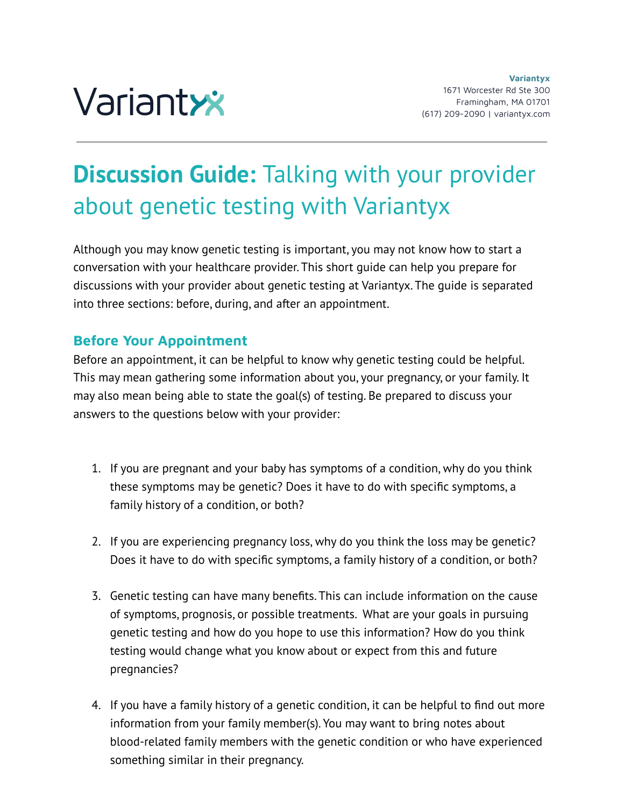

# **Discussion Guide:** Talking with your provider about genetic testing with Variantyx

Although you may know genetic testing is important, you may not know how to start a conversation with your healthcare provider. This short guide can help you prepare for discussions with your provider about genetic testing at Variantyx. The guide is separated into three sections: before, during, and after an appointment.

## **Before Your Appointment**

Before an appointment, it can be helpful to know why genetic testing could be helpful. This may mean gathering some information about you, your pregnancy, or your family. It may also mean being able to state the goal(s) of testing. Be prepared to discuss your answers to the questions below with your provider:

- 1. If you are pregnant and your baby has symptoms of a condition, why do you think these symptoms may be genetic? Does it have to do with specific symptoms, a family history of a condition, or both?
- 2. If you are experiencing pregnancy loss, why do you think the loss may be genetic? Does it have to do with specific symptoms, a family history of a condition, or both?
- 3. Genetic testing can have many benefits. This can include information on the cause of symptoms, prognosis, or possible treatments. What are your goals in pursuing genetic testing and how do you hope to use this information? How do you think testing would change what you know about or expect from this and future pregnancies?
- 4. If you have a family history of a genetic condition, it can be helpful to find out more information from your family member(s). You may want to bring notes about blood-related family members with the genetic condition or who have experienced something similar in their pregnancy.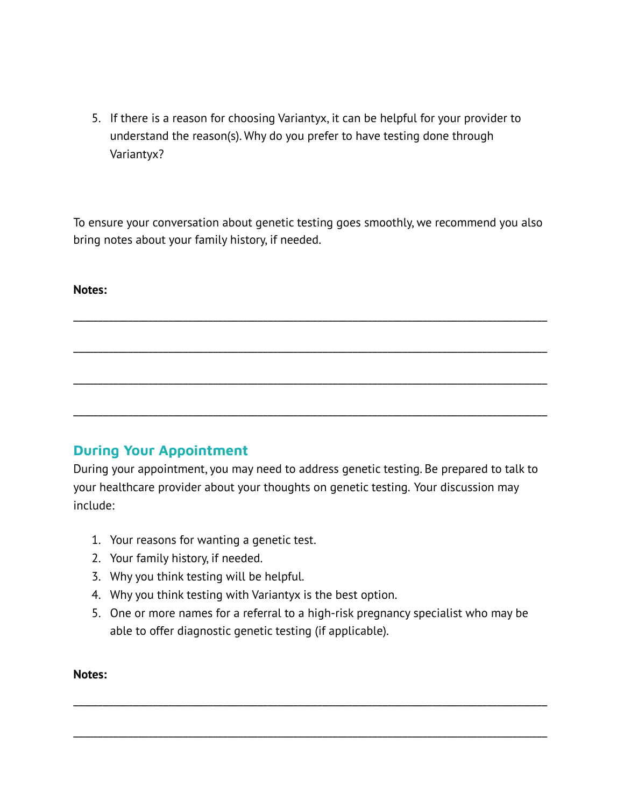5. If there is a reason for choosing Variantyx, it can be helpful for your provider to understand the reason(s). Why do you prefer to have testing done through Variantyx?

To ensure your conversation about genetic testing goes smoothly, we recommend you also bring notes about your family history, if needed.

\_\_\_\_\_\_\_\_\_\_\_\_\_\_\_\_\_\_\_\_\_\_\_\_\_\_\_\_\_\_\_\_\_\_\_\_\_\_\_\_\_\_\_\_\_\_\_\_\_\_\_\_\_\_\_\_\_\_\_\_\_\_\_\_\_\_\_\_\_\_\_\_\_\_\_\_\_\_\_\_\_\_\_\_\_\_\_\_\_\_\_\_\_\_\_

\_\_\_\_\_\_\_\_\_\_\_\_\_\_\_\_\_\_\_\_\_\_\_\_\_\_\_\_\_\_\_\_\_\_\_\_\_\_\_\_\_\_\_\_\_\_\_\_\_\_\_\_\_\_\_\_\_\_\_\_\_\_\_\_\_\_\_\_\_\_\_\_\_\_\_\_\_\_\_\_\_\_\_\_\_\_\_\_\_\_\_\_\_\_\_

\_\_\_\_\_\_\_\_\_\_\_\_\_\_\_\_\_\_\_\_\_\_\_\_\_\_\_\_\_\_\_\_\_\_\_\_\_\_\_\_\_\_\_\_\_\_\_\_\_\_\_\_\_\_\_\_\_\_\_\_\_\_\_\_\_\_\_\_\_\_\_\_\_\_\_\_\_\_\_\_\_\_\_\_\_\_\_\_\_\_\_\_\_\_\_

\_\_\_\_\_\_\_\_\_\_\_\_\_\_\_\_\_\_\_\_\_\_\_\_\_\_\_\_\_\_\_\_\_\_\_\_\_\_\_\_\_\_\_\_\_\_\_\_\_\_\_\_\_\_\_\_\_\_\_\_\_\_\_\_\_\_\_\_\_\_\_\_\_\_\_\_\_\_\_\_\_\_\_\_\_\_\_\_\_\_\_\_\_\_\_

#### **Notes:**

## **During Your Appointment**

During your appointment, you may need to address genetic testing. Be prepared to talk to your healthcare provider about your thoughts on genetic testing. Your discussion may include:

- 1. Your reasons for wanting a genetic test.
- 2. Your family history, if needed.
- 3. Why you think testing will be helpful.
- 4. Why you think testing with Variantyx is the best option.
- 5. One or more names for a referral to a high-risk pregnancy specialist who may be able to offer diagnostic genetic testing (if applicable).

\_\_\_\_\_\_\_\_\_\_\_\_\_\_\_\_\_\_\_\_\_\_\_\_\_\_\_\_\_\_\_\_\_\_\_\_\_\_\_\_\_\_\_\_\_\_\_\_\_\_\_\_\_\_\_\_\_\_\_\_\_\_\_\_\_\_\_\_\_\_\_\_\_\_\_\_\_\_\_\_\_\_\_\_\_\_\_\_\_\_\_\_\_\_\_

\_\_\_\_\_\_\_\_\_\_\_\_\_\_\_\_\_\_\_\_\_\_\_\_\_\_\_\_\_\_\_\_\_\_\_\_\_\_\_\_\_\_\_\_\_\_\_\_\_\_\_\_\_\_\_\_\_\_\_\_\_\_\_\_\_\_\_\_\_\_\_\_\_\_\_\_\_\_\_\_\_\_\_\_\_\_\_\_\_\_\_\_\_\_\_

#### **Notes:**